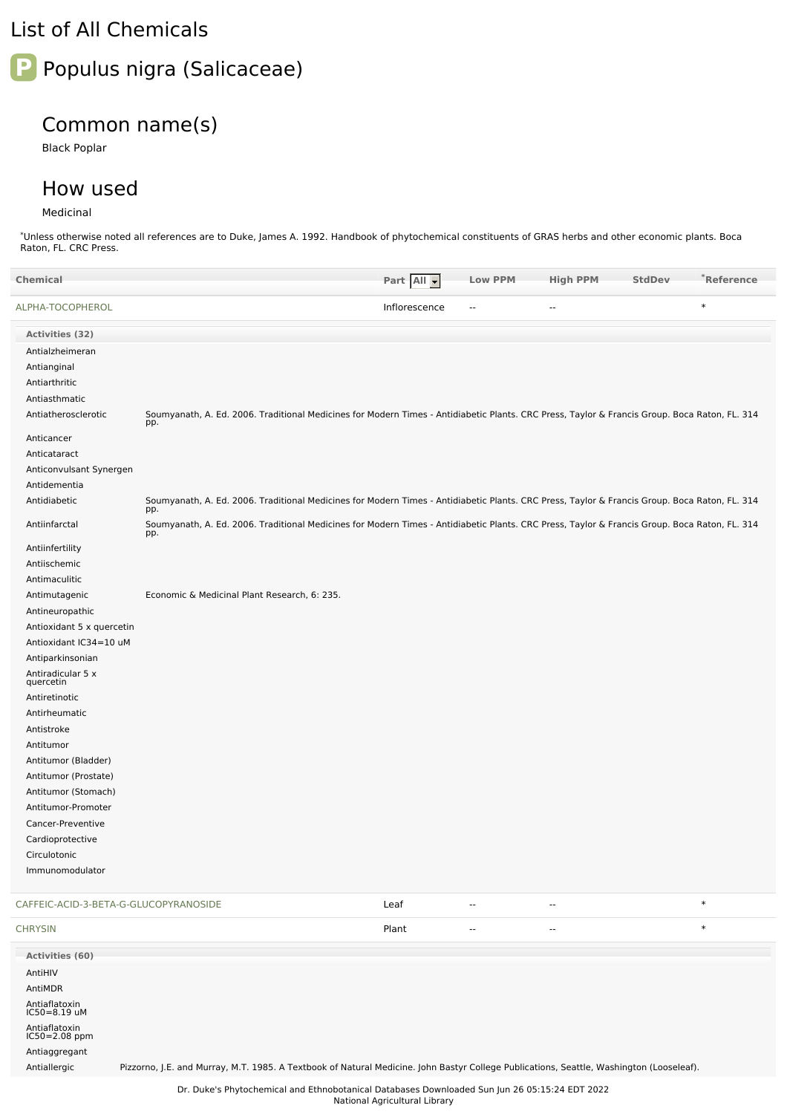## List of All Chemicals

# Populus nigra (Salicaceae)

### Common name(s)

Black Poplar

### How used

#### Medicinal

Antiaflatoxin IC50=8.19 uM Antiaflatoxin IC50=2.08 ppm Antiaggregant

\*Unless otherwise noted all references are to Duke, James A. 1992. Handbook of phytochemical constituents of GRAS herbs and other economic plants. Boca Raton, FL. CRC Press.

| <b>Chemical</b>                       |                                                                                                                                                      | Part All -    | <b>Low PPM</b>           | <b>High PPM</b> | <b>StdDev</b> | *Reference |
|---------------------------------------|------------------------------------------------------------------------------------------------------------------------------------------------------|---------------|--------------------------|-----------------|---------------|------------|
| ALPHA-TOCOPHEROL                      |                                                                                                                                                      | Inflorescence | $\overline{\phantom{a}}$ | Ξ.              |               | $\ast$     |
| Activities (32)                       |                                                                                                                                                      |               |                          |                 |               |            |
| Antialzheimeran                       |                                                                                                                                                      |               |                          |                 |               |            |
| Antianginal                           |                                                                                                                                                      |               |                          |                 |               |            |
| Antiarthritic                         |                                                                                                                                                      |               |                          |                 |               |            |
| Antiasthmatic                         |                                                                                                                                                      |               |                          |                 |               |            |
| Antiatherosclerotic                   | Soumyanath, A. Ed. 2006. Traditional Medicines for Modern Times - Antidiabetic Plants. CRC Press, Taylor & Francis Group. Boca Raton, FL. 314<br>pp. |               |                          |                 |               |            |
| Anticancer                            |                                                                                                                                                      |               |                          |                 |               |            |
| Anticataract                          |                                                                                                                                                      |               |                          |                 |               |            |
| Anticonvulsant Synergen               |                                                                                                                                                      |               |                          |                 |               |            |
| Antidementia                          |                                                                                                                                                      |               |                          |                 |               |            |
| Antidiabetic                          | Soumyanath, A. Ed. 2006. Traditional Medicines for Modern Times - Antidiabetic Plants. CRC Press, Taylor & Francis Group. Boca Raton, FL. 314<br>pp. |               |                          |                 |               |            |
| Antiinfarctal                         | Soumyanath, A. Ed. 2006. Traditional Medicines for Modern Times - Antidiabetic Plants. CRC Press, Taylor & Francis Group. Boca Raton, FL. 314<br>pp. |               |                          |                 |               |            |
| Antiinfertility                       |                                                                                                                                                      |               |                          |                 |               |            |
| Antiischemic                          |                                                                                                                                                      |               |                          |                 |               |            |
| Antimaculitic                         |                                                                                                                                                      |               |                          |                 |               |            |
| Antimutagenic                         | Economic & Medicinal Plant Research, 6: 235.                                                                                                         |               |                          |                 |               |            |
| Antineuropathic                       |                                                                                                                                                      |               |                          |                 |               |            |
| Antioxidant 5 x quercetin             |                                                                                                                                                      |               |                          |                 |               |            |
| Antioxidant IC34=10 uM                |                                                                                                                                                      |               |                          |                 |               |            |
| Antiparkinsonian                      |                                                                                                                                                      |               |                          |                 |               |            |
| Antiradicular 5 x<br>quercetin        |                                                                                                                                                      |               |                          |                 |               |            |
| Antiretinotic                         |                                                                                                                                                      |               |                          |                 |               |            |
| Antirheumatic                         |                                                                                                                                                      |               |                          |                 |               |            |
| Antistroke                            |                                                                                                                                                      |               |                          |                 |               |            |
| Antitumor                             |                                                                                                                                                      |               |                          |                 |               |            |
| Antitumor (Bladder)                   |                                                                                                                                                      |               |                          |                 |               |            |
| Antitumor (Prostate)                  |                                                                                                                                                      |               |                          |                 |               |            |
| Antitumor (Stomach)                   |                                                                                                                                                      |               |                          |                 |               |            |
| Antitumor-Promoter                    |                                                                                                                                                      |               |                          |                 |               |            |
| Cancer-Preventive                     |                                                                                                                                                      |               |                          |                 |               |            |
| Cardioprotective                      |                                                                                                                                                      |               |                          |                 |               |            |
| Circulotonic                          |                                                                                                                                                      |               |                          |                 |               |            |
| Immunomodulator                       |                                                                                                                                                      |               |                          |                 |               |            |
| CAFFEIC-ACID-3-BETA-G-GLUCOPYRANOSIDE |                                                                                                                                                      | Leaf          | $\overline{a}$           | --              |               | $\ast$     |
| <b>CHRYSIN</b>                        |                                                                                                                                                      | Plant         | $\sim$                   | --              |               | $\ast$     |
| Activities (60)                       |                                                                                                                                                      |               |                          |                 |               |            |
| AntiHIV<br>AntiMDR                    |                                                                                                                                                      |               |                          |                 |               |            |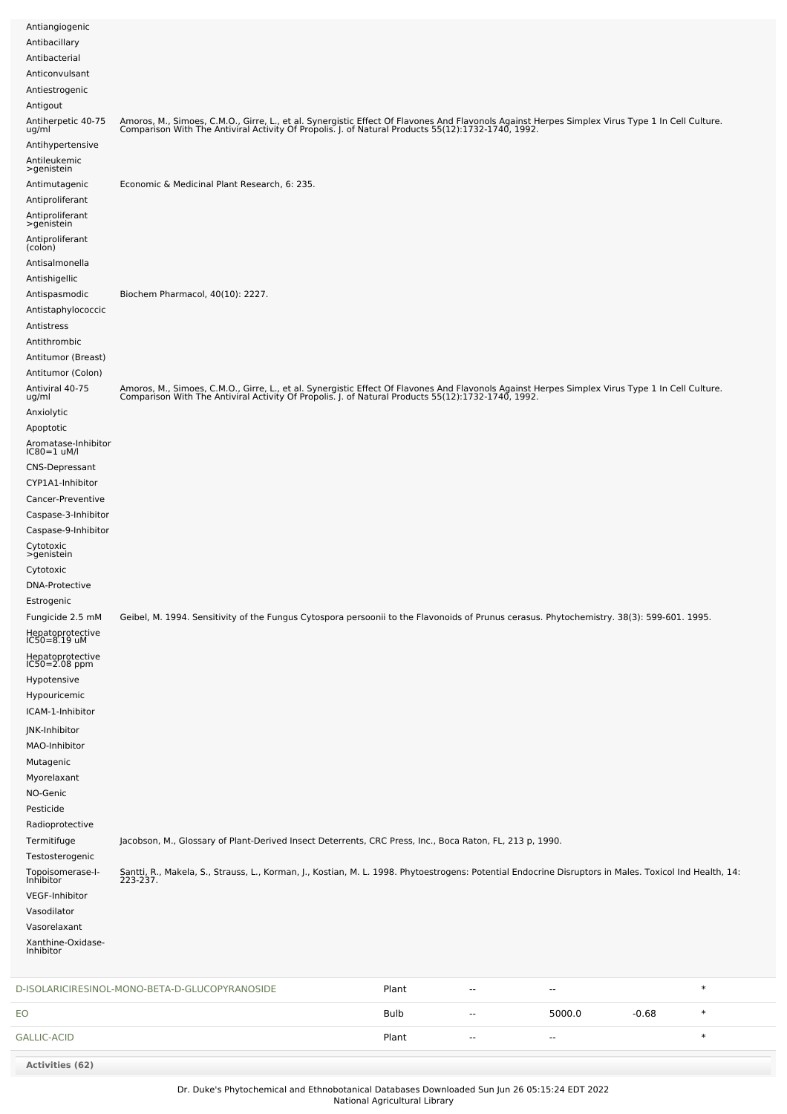| Antiangiogenic<br>Antibacillary                      |                                                                                                                                                                                                                                   |       |                |        |         |        |
|------------------------------------------------------|-----------------------------------------------------------------------------------------------------------------------------------------------------------------------------------------------------------------------------------|-------|----------------|--------|---------|--------|
| Antibacterial<br>Anticonvulsant                      |                                                                                                                                                                                                                                   |       |                |        |         |        |
| Antiestrogenic                                       |                                                                                                                                                                                                                                   |       |                |        |         |        |
| Antigout                                             |                                                                                                                                                                                                                                   |       |                |        |         |        |
| Antiherpetic 40-75<br>ug/ml<br>Antihypertensive      | Amoros, M., Simoes, C.M.O., Girre, L., et al. Synergistic Effect Of Flavones And Flavonols Against Herpes Simplex Virus Type 1 In Cell Culture.<br>Comparison With The Antiviral Activity Of Propolis. J. of Natural Products 55( |       |                |        |         |        |
| Antileukemic                                         |                                                                                                                                                                                                                                   |       |                |        |         |        |
| >genistein<br>Antimutagenic                          | Economic & Medicinal Plant Research, 6: 235.                                                                                                                                                                                      |       |                |        |         |        |
| Antiproliferant                                      |                                                                                                                                                                                                                                   |       |                |        |         |        |
| Antiproliferant<br>>genistein                        |                                                                                                                                                                                                                                   |       |                |        |         |        |
| Antiproliferant<br>(colon)                           |                                                                                                                                                                                                                                   |       |                |        |         |        |
| Antisalmonella                                       |                                                                                                                                                                                                                                   |       |                |        |         |        |
| Antishigellic<br>Antispasmodic                       | Biochem Pharmacol, 40(10): 2227.                                                                                                                                                                                                  |       |                |        |         |        |
| Antistaphylococcic                                   |                                                                                                                                                                                                                                   |       |                |        |         |        |
| Antistress                                           |                                                                                                                                                                                                                                   |       |                |        |         |        |
| Antithrombic                                         |                                                                                                                                                                                                                                   |       |                |        |         |        |
| Antitumor (Breast)<br>Antitumor (Colon)              |                                                                                                                                                                                                                                   |       |                |        |         |        |
| Antiviral 40-75                                      | Amoros, M., Simoes, C.M.O., Girre, L., et al. Synergistic Effect Of Flavones And Flavonols Against Herpes Simplex Virus Type 1 In Cell Culture.<br>Comparison With The Antiviral Activity Of Propolis. J. of Natural Products 55( |       |                |        |         |        |
| ug/ml<br>Anxiolytic                                  |                                                                                                                                                                                                                                   |       |                |        |         |        |
| Apoptotic                                            |                                                                                                                                                                                                                                   |       |                |        |         |        |
| Aromatase-Inhibitor<br>$IC80=1$ uM/l                 |                                                                                                                                                                                                                                   |       |                |        |         |        |
| <b>CNS-Depressant</b>                                |                                                                                                                                                                                                                                   |       |                |        |         |        |
| CYP1A1-Inhibitor                                     |                                                                                                                                                                                                                                   |       |                |        |         |        |
| Cancer-Preventive                                    |                                                                                                                                                                                                                                   |       |                |        |         |        |
| Caspase-3-Inhibitor<br>Caspase-9-Inhibitor           |                                                                                                                                                                                                                                   |       |                |        |         |        |
| Cytotoxic<br>>genistein                              |                                                                                                                                                                                                                                   |       |                |        |         |        |
| Cytotoxic                                            |                                                                                                                                                                                                                                   |       |                |        |         |        |
| <b>DNA-Protective</b>                                |                                                                                                                                                                                                                                   |       |                |        |         |        |
| Estrogenic                                           |                                                                                                                                                                                                                                   |       |                |        |         |        |
| Fungicide 2.5 mM                                     | Geibel, M. 1994. Sensitivity of the Fungus Cytospora persoonii to the Flavonoids of Prunus cerasus. Phytochemistry. 38(3): 599-601. 1995.                                                                                         |       |                |        |         |        |
| Hepatoprotective<br>IC50=8.19 uM<br>Hepatoprotective |                                                                                                                                                                                                                                   |       |                |        |         |        |
| $IC50 = 2.08$ ppm                                    |                                                                                                                                                                                                                                   |       |                |        |         |        |
| Hypotensive<br>Hypouricemic                          |                                                                                                                                                                                                                                   |       |                |        |         |        |
| ICAM-1-Inhibitor                                     |                                                                                                                                                                                                                                   |       |                |        |         |        |
| JNK-Inhibitor                                        |                                                                                                                                                                                                                                   |       |                |        |         |        |
| MAO-Inhibitor                                        |                                                                                                                                                                                                                                   |       |                |        |         |        |
| Mutagenic<br>Myorelaxant                             |                                                                                                                                                                                                                                   |       |                |        |         |        |
| NO-Genic                                             |                                                                                                                                                                                                                                   |       |                |        |         |        |
| Pesticide                                            |                                                                                                                                                                                                                                   |       |                |        |         |        |
| Radioprotective                                      |                                                                                                                                                                                                                                   |       |                |        |         |        |
| Termitifuge<br>Testosterogenic                       | Jacobson, M., Glossary of Plant-Derived Insect Deterrents, CRC Press, Inc., Boca Raton, FL, 213 p, 1990.                                                                                                                          |       |                |        |         |        |
| Topoisomerase-l-<br>Inhibitor                        | Santti, R., Makela, S., Strauss, L., Korman, J., Kostian, M. L. 1998. Phytoestrogens: Potential Endocrine Disruptors in Males. Toxicol Ind Health, 14:<br>223-237.                                                                |       |                |        |         |        |
| VEGF-Inhibitor                                       |                                                                                                                                                                                                                                   |       |                |        |         |        |
| Vasodilator                                          |                                                                                                                                                                                                                                   |       |                |        |         |        |
| Vasorelaxant                                         |                                                                                                                                                                                                                                   |       |                |        |         |        |
| Xanthine-Oxidase-<br>Inhibitor                       |                                                                                                                                                                                                                                   |       |                |        |         |        |
|                                                      | D-ISOLARICIRESINOL-MONO-BETA-D-GLUCOPYRANOSIDE                                                                                                                                                                                    | Plant | $\overline{a}$ | --     |         | $\ast$ |
| EO                                                   |                                                                                                                                                                                                                                   | Bulb  | ۰.             | 5000.0 | $-0.68$ | $\ast$ |
|                                                      |                                                                                                                                                                                                                                   |       |                |        |         | $\ast$ |
| <b>GALLIC-ACID</b>                                   |                                                                                                                                                                                                                                   | Plant | --             | --     |         |        |

**Activities (62)**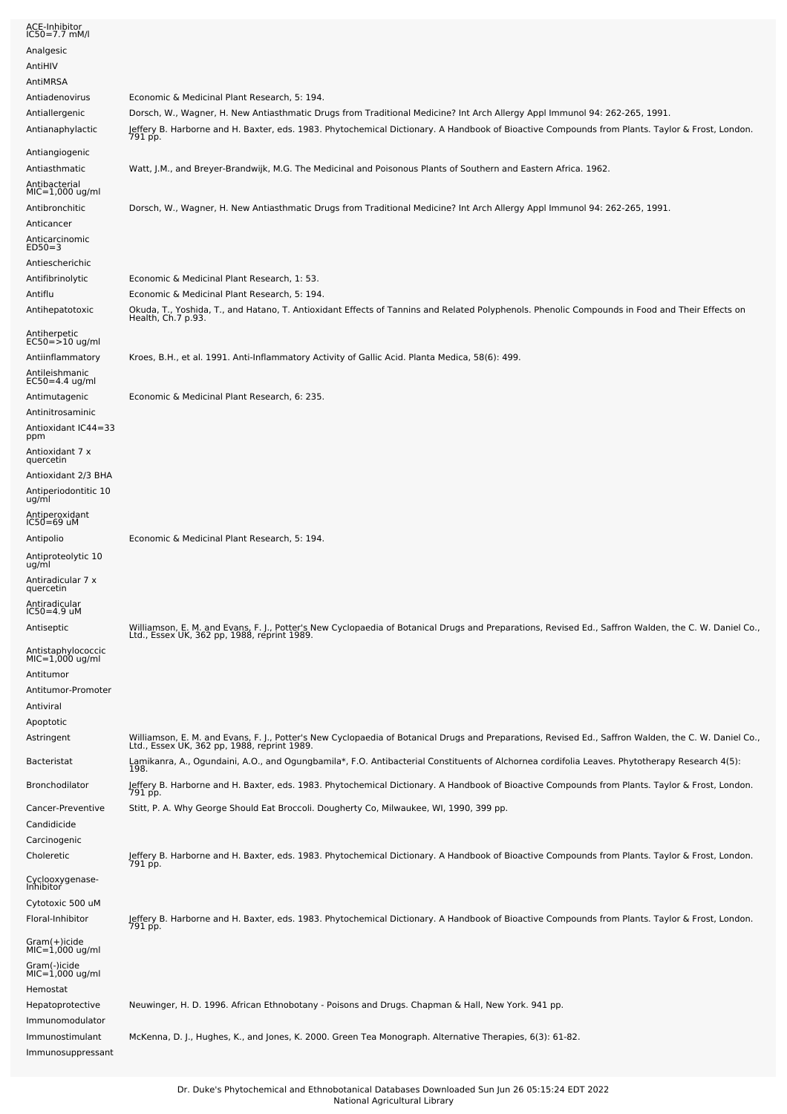| ACE-Inhibitor<br>IC50=7.7 mM/l                                                        |                                                                                                                                                                                                                                                                                         |
|---------------------------------------------------------------------------------------|-----------------------------------------------------------------------------------------------------------------------------------------------------------------------------------------------------------------------------------------------------------------------------------------|
| Analgesic                                                                             |                                                                                                                                                                                                                                                                                         |
| AntiHIV                                                                               |                                                                                                                                                                                                                                                                                         |
| AntiMRSA                                                                              |                                                                                                                                                                                                                                                                                         |
| Antiadenovirus                                                                        | Economic & Medicinal Plant Research, 5: 194.                                                                                                                                                                                                                                            |
| Antiallergenic<br>Antianaphylactic                                                    | Dorsch, W., Wagner, H. New Antiasthmatic Drugs from Traditional Medicine? Int Arch Allergy Appl Immunol 94: 262-265, 1991.<br>Jeffery B. Harborne and H. Baxter, eds. 1983. Phytochemical Dictionary. A Handbook of Bioactive Compounds from Plants. Taylor & Frost, London.<br>791 pp. |
| Antiangiogenic                                                                        |                                                                                                                                                                                                                                                                                         |
| Antiasthmatic<br>Antibacterial<br>$MIC=1,000$ ug/ml                                   | Watt, J.M., and Breyer-Brandwijk, M.G. The Medicinal and Poisonous Plants of Southern and Eastern Africa. 1962.                                                                                                                                                                         |
| Antibronchitic<br>Anticancer                                                          | Dorsch, W., Wagner, H. New Antiasthmatic Drugs from Traditional Medicine? Int Arch Allergy Appl Immunol 94: 262-265, 1991.                                                                                                                                                              |
| Anticarcinomic<br>$ED50=3$                                                            |                                                                                                                                                                                                                                                                                         |
| Antiescherichic                                                                       |                                                                                                                                                                                                                                                                                         |
| Antifibrinolytic                                                                      | Economic & Medicinal Plant Research, 1: 53.                                                                                                                                                                                                                                             |
| Antiflu<br>Antihepatotoxic                                                            | Economic & Medicinal Plant Research, 5: 194.<br>Okuda, T., Yoshida, T., and Hatano, T. Antioxidant Effects of Tannins and Related Polyphenols. Phenolic Compounds in Food and Their Effects on<br>Health, Ch.7 p.93.                                                                    |
| Antiherpetic<br>$EC50 = 10$ ug/ml                                                     |                                                                                                                                                                                                                                                                                         |
| Antiinflammatory<br>Antileishmanic<br>EC50=4.4 ug/ml                                  | Kroes, B.H., et al. 1991. Anti-Inflammatory Activity of Gallic Acid. Planta Medica, 58(6): 499.                                                                                                                                                                                         |
| Antimutagenic<br>Antinitrosaminic                                                     | Economic & Medicinal Plant Research, 6: 235.                                                                                                                                                                                                                                            |
| Antioxidant IC44=33<br>ppm                                                            |                                                                                                                                                                                                                                                                                         |
| Antioxidant 7 x<br>quercetin                                                          |                                                                                                                                                                                                                                                                                         |
| Antioxidant 2/3 BHA<br>Antiperiodontitic 10<br>ug/ml                                  |                                                                                                                                                                                                                                                                                         |
| Antiperoxidant<br>$IC50=69$ uM                                                        |                                                                                                                                                                                                                                                                                         |
| Antipolio                                                                             | Economic & Medicinal Plant Research, 5: 194.                                                                                                                                                                                                                                            |
| Antiproteolytic 10                                                                    |                                                                                                                                                                                                                                                                                         |
| ug/ml<br>Antiradicular 7 x<br>quercetin                                               |                                                                                                                                                                                                                                                                                         |
| Antiradicular<br>$IC50=4.9$ uM                                                        |                                                                                                                                                                                                                                                                                         |
| Antiseptic                                                                            | Williamson, E. M. and Evans, F. J., Potter's New Cyclopaedia of Botanical Drugs and Preparations, Revised Ed., Saffron Walden, the C. W. Daniel Co.,<br>Ltd., Essex UK, 362 pp, 1988, reprint 1989.                                                                                     |
| Antistaphylococcic<br>MIC=1,000 ug/ml<br>Antitumor<br>Antitumor-Promoter<br>Antiviral |                                                                                                                                                                                                                                                                                         |
| Apoptotic<br>Astringent                                                               | Williamson, E. M. and Evans, F. J., Potter's New Cyclopaedia of Botanical Drugs and Preparations, Revised Ed., Saffron Walden, the C. W. Daniel Co.,<br>Ltd., Essex UK, 362 pp, 1988, reprint 1989.                                                                                     |
| Bacteristat                                                                           | Lamikanra, A., Ogundaini, A.O., and Ogungbamila*, F.O. Antibacterial Constituents of Alchornea cordifolia Leaves. Phytotherapy Research 4(5):<br>198.                                                                                                                                   |
| Bronchodilator                                                                        | Jeffery B. Harborne and H. Baxter, eds. 1983. Phytochemical Dictionary. A Handbook of Bioactive Compounds from Plants. Taylor & Frost, London.<br>791 pp.                                                                                                                               |
| Cancer-Preventive<br>Candidicide<br>Carcinogenic                                      | Stitt, P. A. Why George Should Eat Broccoli. Dougherty Co, Milwaukee, WI, 1990, 399 pp.                                                                                                                                                                                                 |
| Choleretic                                                                            | Jeffery B. Harborne and H. Baxter, eds. 1983. Phytochemical Dictionary. A Handbook of Bioactive Compounds from Plants. Taylor & Frost, London.<br>791 pp.                                                                                                                               |
| Cyclooxygenase-<br>Inhibitor<br>Cytotoxic 500 uM                                      |                                                                                                                                                                                                                                                                                         |
| Floral-Inhibitor                                                                      | Jeffery B. Harborne and H. Baxter, eds. 1983. Phytochemical Dictionary. A Handbook of Bioactive Compounds from Plants. Taylor & Frost, London.<br>791 pp.                                                                                                                               |
| Gram(+)icide<br>$MIC=1,000$ ug/ml<br>Gram(-)icide<br>$MIC=1,000$ ug/ml<br>Hemostat    |                                                                                                                                                                                                                                                                                         |
| Hepatoprotective<br>Immunomodulator                                                   | Neuwinger, H. D. 1996. African Ethnobotany - Poisons and Drugs. Chapman & Hall, New York. 941 pp.                                                                                                                                                                                       |
| Immunostimulant<br>Immunosuppressant                                                  | McKenna, D. J., Hughes, K., and Jones, K. 2000. Green Tea Monograph. Alternative Therapies, 6(3): 61-82.                                                                                                                                                                                |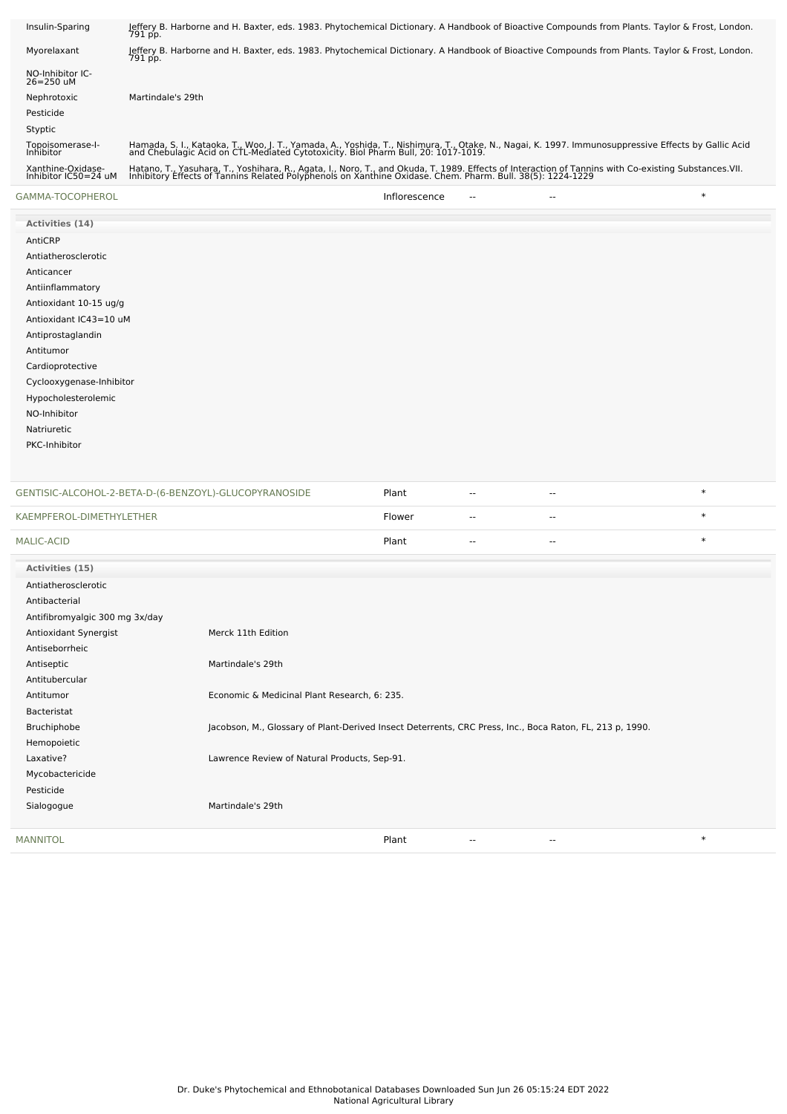| Xanthine-Oxidase-<br>Inhibitor IC50=24 uM<br>GAMMA-TOCOPHEROL | Hatano, T., Yasuhara, T., Yoshihara, R., Agata, I., Noro, T., and Okuda, T. 1989. Effects of Interaction of Tannins with Co-existing Substances.VII.<br>Inhibitory Effects of Tannins Related Polyphenols on Xanthine Oxidase. Chem. Pharm. Bull. 38(5): 1224-1229<br>$\ast$<br>Inflorescence |
|---------------------------------------------------------------|-----------------------------------------------------------------------------------------------------------------------------------------------------------------------------------------------------------------------------------------------------------------------------------------------|
| Topoisomerase-I-<br>Inhibitor                                 | Hamada, S. I., Kataoka, T., Woo, J. T., Yamada, A., Yoshida, T., Nishimura, T., Otake, N., Nagai, K. 1997. Immunosuppressive Effects by Gallic Acid<br>and Chebulagic Acid on CTL-Mediated Cytotoxicity. Biol Pharm Bull, 20: 1017-1019.                                                      |
| Styptic                                                       |                                                                                                                                                                                                                                                                                               |
| Pesticide                                                     |                                                                                                                                                                                                                                                                                               |
| Nephrotoxic                                                   | Martindale's 29th                                                                                                                                                                                                                                                                             |
| NO-Inhibitor IC-<br>$26 = 250$ uM                             |                                                                                                                                                                                                                                                                                               |
| Myorelaxant                                                   | Jeffery B. Harborne and H. Baxter, eds. 1983. Phytochemical Dictionary. A Handbook of Bioactive Compounds from Plants. Taylor & Frost, London.<br>791 pp.                                                                                                                                     |
| Insulin-Sparing                                               | Jeffery B. Harborne and H. Baxter, eds. 1983. Phytochemical Dictionary. A Handbook of Bioactive Compounds from Plants. Taylor & Frost, London.<br>791 pp.                                                                                                                                     |
|                                                               |                                                                                                                                                                                                                                                                                               |

| Activities (14)          |
|--------------------------|
| AntiCRP                  |
| Antiatherosclerotic      |
| Anticancer               |
| Antiinflammatory         |
| Antioxidant 10-15 ug/g   |
| Antioxidant IC43=10 uM   |
| Antiprostaglandin        |
| Antitumor                |
| Cardioprotective         |
| Cyclooxygenase-Inhibitor |
| Hypocholesterolemic      |
| NO-Inhibitor             |
| Natriuretic              |
| PKC-Inhibitor            |
|                          |

| GENTISIC-ALCOHOL-2-BETA-D-(6-BENZOYL)-GLUCOPYRANOSIDE |                                                                                                          | Plant  | $\sim$ $\sim$ | $\overline{\phantom{a}}$ | $\ast$ |
|-------------------------------------------------------|----------------------------------------------------------------------------------------------------------|--------|---------------|--------------------------|--------|
| KAEMPFEROL-DIMETHYLETHER                              |                                                                                                          | Flower | $\sim$        | $\sim$                   | $\ast$ |
| <b>MALIC-ACID</b>                                     |                                                                                                          | Plant  | $\sim$        | $\sim$                   | $\ast$ |
| Activities (15)                                       |                                                                                                          |        |               |                          |        |
| Antiatherosclerotic                                   |                                                                                                          |        |               |                          |        |
| Antibacterial                                         |                                                                                                          |        |               |                          |        |
| Antifibromyalgic 300 mg 3x/day                        |                                                                                                          |        |               |                          |        |
| Antioxidant Synergist                                 | Merck 11th Edition                                                                                       |        |               |                          |        |
| Antiseborrheic                                        |                                                                                                          |        |               |                          |        |
| Antiseptic                                            | Martindale's 29th                                                                                        |        |               |                          |        |
| Antitubercular                                        |                                                                                                          |        |               |                          |        |
| Antitumor                                             | Economic & Medicinal Plant Research, 6: 235.                                                             |        |               |                          |        |
| Bacteristat                                           |                                                                                                          |        |               |                          |        |
| Bruchiphobe                                           | Jacobson, M., Glossary of Plant-Derived Insect Deterrents, CRC Press, Inc., Boca Raton, FL, 213 p, 1990. |        |               |                          |        |
| Hemopoietic                                           |                                                                                                          |        |               |                          |        |
| Laxative?                                             | Lawrence Review of Natural Products, Sep-91.                                                             |        |               |                          |        |
| Mycobactericide                                       |                                                                                                          |        |               |                          |        |
| Pesticide                                             |                                                                                                          |        |               |                          |        |
| Sialogogue                                            | Martindale's 29th                                                                                        |        |               |                          |        |
| <b>MANNITOL</b>                                       |                                                                                                          | Plant  |               | $\overline{\phantom{a}}$ | $\ast$ |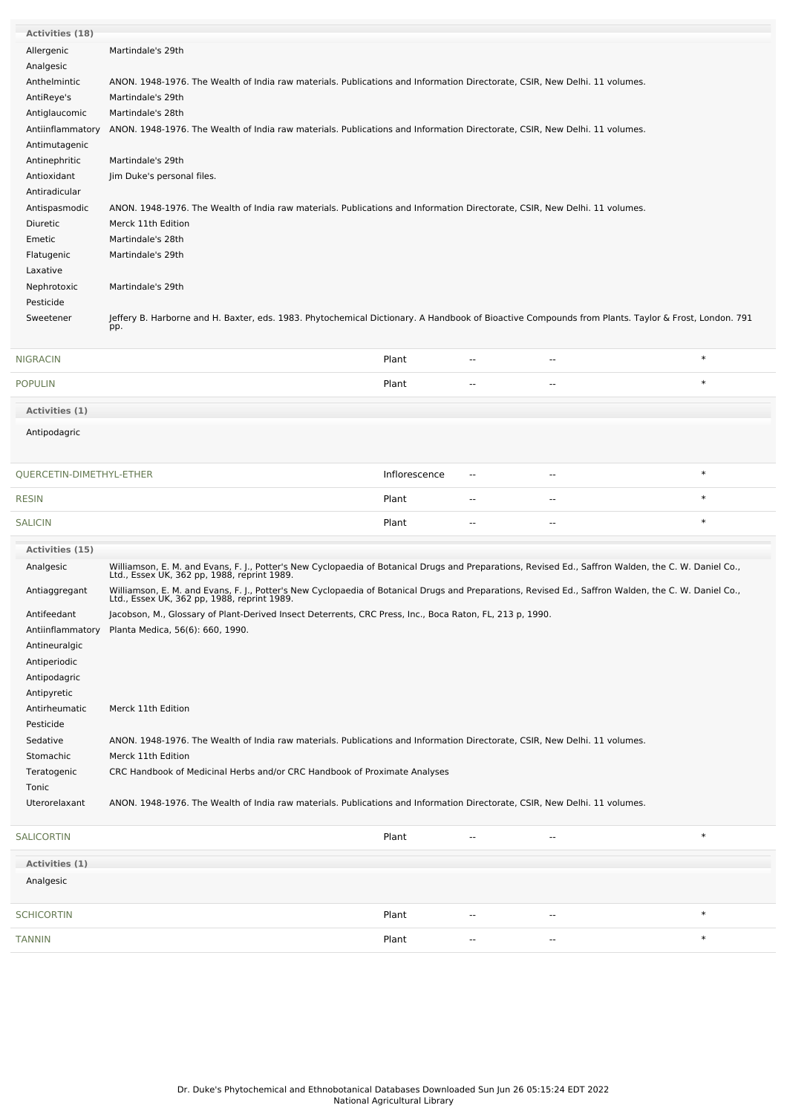| <b>Activities (18)</b>   |                                                                                                                                                                                                     |               |                |                          |        |
|--------------------------|-----------------------------------------------------------------------------------------------------------------------------------------------------------------------------------------------------|---------------|----------------|--------------------------|--------|
| Allergenic               | Martindale's 29th                                                                                                                                                                                   |               |                |                          |        |
| Analgesic                |                                                                                                                                                                                                     |               |                |                          |        |
| Anthelmintic             | ANON. 1948-1976. The Wealth of India raw materials. Publications and Information Directorate, CSIR, New Delhi. 11 volumes.                                                                          |               |                |                          |        |
| AntiReye's               | Martindale's 29th                                                                                                                                                                                   |               |                |                          |        |
| Antiglaucomic            | Martindale's 28th                                                                                                                                                                                   |               |                |                          |        |
| Antiinflammatory         | ANON. 1948-1976. The Wealth of India raw materials. Publications and Information Directorate, CSIR, New Delhi. 11 volumes.                                                                          |               |                |                          |        |
| Antimutagenic            |                                                                                                                                                                                                     |               |                |                          |        |
| Antinephritic            | Martindale's 29th                                                                                                                                                                                   |               |                |                          |        |
| Antioxidant              | Jim Duke's personal files.                                                                                                                                                                          |               |                |                          |        |
| Antiradicular            |                                                                                                                                                                                                     |               |                |                          |        |
| Antispasmodic            | ANON. 1948-1976. The Wealth of India raw materials. Publications and Information Directorate, CSIR, New Delhi. 11 volumes.                                                                          |               |                |                          |        |
| Diuretic                 | Merck 11th Edition                                                                                                                                                                                  |               |                |                          |        |
| Emetic                   | Martindale's 28th                                                                                                                                                                                   |               |                |                          |        |
| Flatugenic               | Martindale's 29th                                                                                                                                                                                   |               |                |                          |        |
| Laxative                 |                                                                                                                                                                                                     |               |                |                          |        |
| Nephrotoxic              | Martindale's 29th                                                                                                                                                                                   |               |                |                          |        |
| Pesticide                |                                                                                                                                                                                                     |               |                |                          |        |
| Sweetener                | Jeffery B. Harborne and H. Baxter, eds. 1983. Phytochemical Dictionary. A Handbook of Bioactive Compounds from Plants. Taylor & Frost, London. 791                                                  |               |                |                          |        |
|                          | pp.                                                                                                                                                                                                 |               |                |                          |        |
| <b>NIGRACIN</b>          |                                                                                                                                                                                                     | Plant         | --             | --                       | $\ast$ |
|                          |                                                                                                                                                                                                     |               |                |                          | $\ast$ |
| <b>POPULIN</b>           |                                                                                                                                                                                                     | Plant         | --             | --                       |        |
| Activities (1)           |                                                                                                                                                                                                     |               |                |                          |        |
| Antipodagric             |                                                                                                                                                                                                     |               |                |                          |        |
| QUERCETIN-DIMETHYL-ETHER |                                                                                                                                                                                                     | Inflorescence | --             | --                       | $\ast$ |
| <b>RESIN</b>             |                                                                                                                                                                                                     | Plant         | --             | --                       | $\ast$ |
| <b>SALICIN</b>           |                                                                                                                                                                                                     | Plant         | --             | --                       | $\ast$ |
| Activities (15)          |                                                                                                                                                                                                     |               |                |                          |        |
| Analgesic                | Williamson, E. M. and Evans, F. J., Potter's New Cyclopaedia of Botanical Drugs and Preparations, Revised Ed., Saffron Walden, the C. W. Daniel Co.,<br>Ltd., Essex UK, 362 pp, 1988, reprint 1989. |               |                |                          |        |
| Antiaggregant            | Williamson, E. M. and Evans, F. J., Potter's New Cyclopaedia of Botanical Drugs and Preparations, Revised Ed., Saffron Walden, the C. W. Daniel Co.,<br>Ltd., Essex UK, 362 pp, 1988, reprint 1989. |               |                |                          |        |
| Antifeedant              | Jacobson, M., Glossary of Plant-Derived Insect Deterrents, CRC Press, Inc., Boca Raton, FL, 213 p, 1990.                                                                                            |               |                |                          |        |
| Antiinflammatory         | Planta Medica, 56(6): 660, 1990.                                                                                                                                                                    |               |                |                          |        |
| Antineuralgic            |                                                                                                                                                                                                     |               |                |                          |        |
| Antiperiodic             |                                                                                                                                                                                                     |               |                |                          |        |
| Antipodagric             |                                                                                                                                                                                                     |               |                |                          |        |
| Antipyretic              |                                                                                                                                                                                                     |               |                |                          |        |
| Antirheumatic            | Merck 11th Edition                                                                                                                                                                                  |               |                |                          |        |
| Pesticide                |                                                                                                                                                                                                     |               |                |                          |        |
| Sedative                 | ANON. 1948-1976. The Wealth of India raw materials. Publications and Information Directorate, CSIR, New Delhi. 11 volumes.                                                                          |               |                |                          |        |
| Stomachic                | Merck 11th Edition                                                                                                                                                                                  |               |                |                          |        |
| Teratogenic              | CRC Handbook of Medicinal Herbs and/or CRC Handbook of Proximate Analyses                                                                                                                           |               |                |                          |        |
| Tonic                    |                                                                                                                                                                                                     |               |                |                          |        |
| Uterorelaxant            | ANON. 1948-1976. The Wealth of India raw materials. Publications and Information Directorate, CSIR, New Delhi. 11 volumes.                                                                          |               |                |                          |        |
| <b>SALICORTIN</b>        |                                                                                                                                                                                                     | Plant         | $\overline{a}$ | --                       | $\ast$ |
| Activities (1)           |                                                                                                                                                                                                     |               |                |                          |        |
| Analgesic                |                                                                                                                                                                                                     |               |                |                          |        |
|                          |                                                                                                                                                                                                     |               |                |                          |        |
| <b>SCHICORTIN</b>        |                                                                                                                                                                                                     | Plant         | --             | $\overline{\phantom{a}}$ | $\ast$ |
| <b>TANNIN</b>            |                                                                                                                                                                                                     | Plant         | --             | --                       | $\ast$ |
|                          |                                                                                                                                                                                                     |               |                |                          |        |